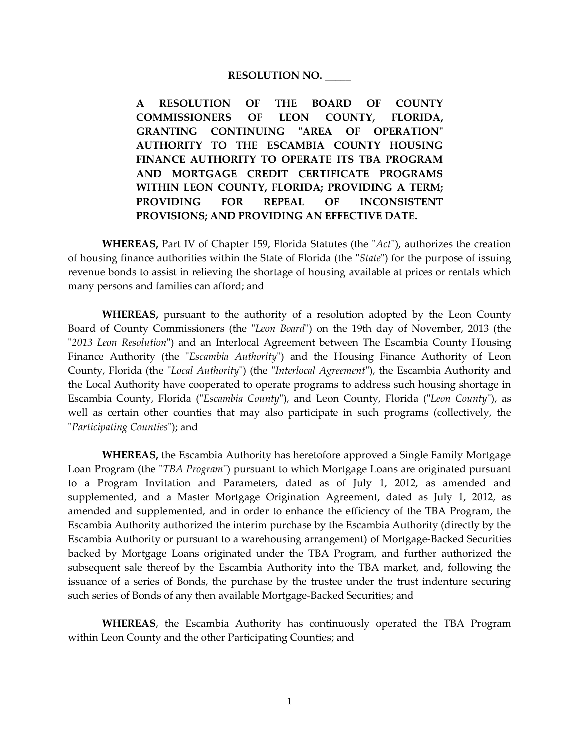#### **RESOLUTION NO. \_\_\_\_\_**

**A RESOLUTION OF THE BOARD OF COUNTY COMMISSIONERS OF LEON COUNTY, FLORIDA, GRANTING CONTINUING "AREA OF OPERATION" AUTHORITY TO THE ESCAMBIA COUNTY HOUSING FINANCE AUTHORITY TO OPERATE ITS TBA PROGRAM AND MORTGAGE CREDIT CERTIFICATE PROGRAMS WITHIN LEON COUNTY, FLORIDA; PROVIDING A TERM; PROVIDING FOR REPEAL OF INCONSISTENT PROVISIONS; AND PROVIDING AN EFFECTIVE DATE.**

**WHEREAS,** Part IV of Chapter 159, Florida Statutes (the "*Act*"), authorizes the creation of housing finance authorities within the State of Florida (the "*State*") for the purpose of issuing revenue bonds to assist in relieving the shortage of housing available at prices or rentals which many persons and families can afford; and

**WHEREAS,** pursuant to the authority of a resolution adopted by the Leon County Board of County Commissioners (the "*Leon Board*") on the 19th day of November, 2013 (the "*2013 Leon Resolution*") and an Interlocal Agreement between The Escambia County Housing Finance Authority (the "*Escambia Authority*") and the Housing Finance Authority of Leon County, Florida (the "*Local Authority*") (the "*Interlocal Agreement*"), the Escambia Authority and the Local Authority have cooperated to operate programs to address such housing shortage in Escambia County, Florida ("*Escambia County*"), and Leon County, Florida ("*Leon County*"), as well as certain other counties that may also participate in such programs (collectively, the "*Participating Counties*"); and

**WHEREAS,** the Escambia Authority has heretofore approved a Single Family Mortgage Loan Program (the "*TBA Program*") pursuant to which Mortgage Loans are originated pursuant to a Program Invitation and Parameters, dated as of July 1, 2012, as amended and supplemented, and a Master Mortgage Origination Agreement, dated as July 1, 2012, as amended and supplemented, and in order to enhance the efficiency of the TBA Program, the Escambia Authority authorized the interim purchase by the Escambia Authority (directly by the Escambia Authority or pursuant to a warehousing arrangement) of Mortgage-Backed Securities backed by Mortgage Loans originated under the TBA Program, and further authorized the subsequent sale thereof by the Escambia Authority into the TBA market, and, following the issuance of a series of Bonds, the purchase by the trustee under the trust indenture securing such series of Bonds of any then available Mortgage-Backed Securities; and

**WHEREAS**, the Escambia Authority has continuously operated the TBA Program within Leon County and the other Participating Counties; and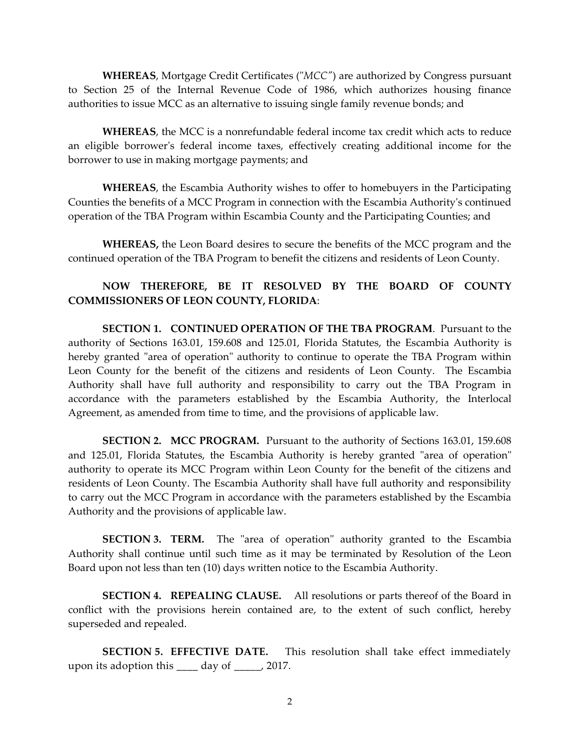**WHEREAS**, Mortgage Credit Certificates ("*MCC"*) are authorized by Congress pursuant to Section 25 of the Internal Revenue Code of 1986, which authorizes housing finance authorities to issue MCC as an alternative to issuing single family revenue bonds; and

**WHEREAS**, the MCC is a nonrefundable federal income tax credit which acts to reduce an eligible borrower's federal income taxes, effectively creating additional income for the borrower to use in making mortgage payments; and

**WHEREAS**, the Escambia Authority wishes to offer to homebuyers in the Participating Counties the benefits of a MCC Program in connection with the Escambia Authority's continued operation of the TBA Program within Escambia County and the Participating Counties; and

**WHEREAS,** the Leon Board desires to secure the benefits of the MCC program and the continued operation of the TBA Program to benefit the citizens and residents of Leon County.

### **NOW THEREFORE, BE IT RESOLVED BY THE BOARD OF COUNTY COMMISSIONERS OF LEON COUNTY, FLORIDA**:

**SECTION 1. CONTINUED OPERATION OF THE TBA PROGRAM**. Pursuant to the authority of Sections 163.01, 159.608 and 125.01, Florida Statutes, the Escambia Authority is hereby granted "area of operation" authority to continue to operate the TBA Program within Leon County for the benefit of the citizens and residents of Leon County. The Escambia Authority shall have full authority and responsibility to carry out the TBA Program in accordance with the parameters established by the Escambia Authority, the Interlocal Agreement, as amended from time to time, and the provisions of applicable law.

**SECTION 2. MCC PROGRAM.** Pursuant to the authority of Sections 163.01, 159.608 and 125.01, Florida Statutes, the Escambia Authority is hereby granted "area of operation" authority to operate its MCC Program within Leon County for the benefit of the citizens and residents of Leon County. The Escambia Authority shall have full authority and responsibility to carry out the MCC Program in accordance with the parameters established by the Escambia Authority and the provisions of applicable law.

**SECTION 3. TERM.** The "area of operation" authority granted to the Escambia Authority shall continue until such time as it may be terminated by Resolution of the Leon Board upon not less than ten (10) days written notice to the Escambia Authority.

**SECTION 4. REPEALING CLAUSE.** All resolutions or parts thereof of the Board in conflict with the provisions herein contained are, to the extent of such conflict, hereby superseded and repealed.

**SECTION 5. EFFECTIVE DATE.** This resolution shall take effect immediately upon its adoption this \_\_\_\_ day of \_\_\_\_\_, 2017.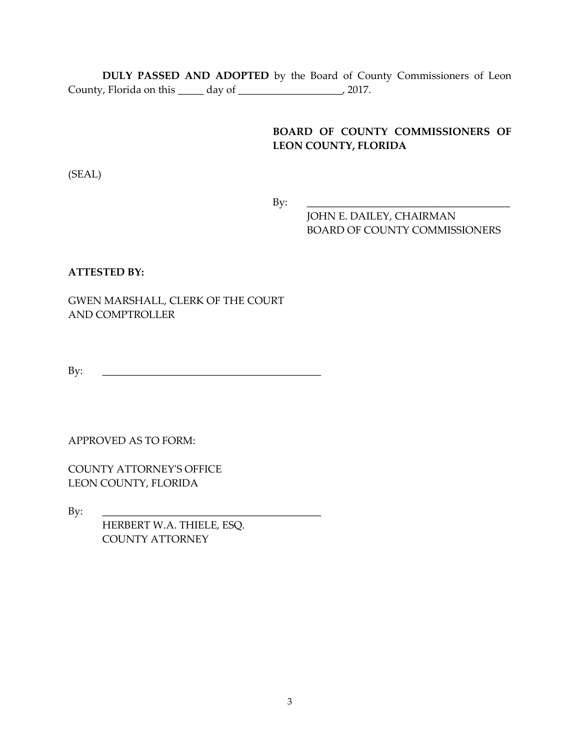**DULY PASSED AND ADOPTED** by the Board of County Commissioners of Leon County, Florida on this \_\_\_\_\_ day of \_\_\_\_\_\_\_\_\_\_\_\_\_\_\_\_\_\_\_\_, 2017.

## **BOARD OF COUNTY COMMISSIONERS OF LEON COUNTY, FLORIDA**

(SEAL)

By: \_\_\_\_\_\_\_\_\_\_\_\_\_\_\_\_\_\_\_\_\_\_\_\_\_\_\_\_\_\_\_\_\_\_\_\_\_\_\_

JOHN E. DAILEY, CHAIRMAN BOARD OF COUNTY COMMISSIONERS

### **ATTESTED BY:**

GWEN MARSHALL, CLERK OF THE COURT AND COMPTROLLER

By: \_\_\_\_\_\_\_\_\_\_\_\_\_\_\_\_\_\_\_\_\_\_\_\_\_\_\_\_\_\_\_\_\_\_\_\_\_\_\_\_\_\_

APPROVED AS TO FORM:

COUNTY ATTORNEY'S OFFICE LEON COUNTY, FLORIDA

By: \_\_\_\_\_\_\_\_\_\_\_\_\_\_\_\_\_\_\_\_\_\_\_\_\_\_\_\_\_\_\_\_\_\_\_\_\_\_\_\_\_\_

 HERBERT W.A. THIELE, ESQ. COUNTY ATTORNEY